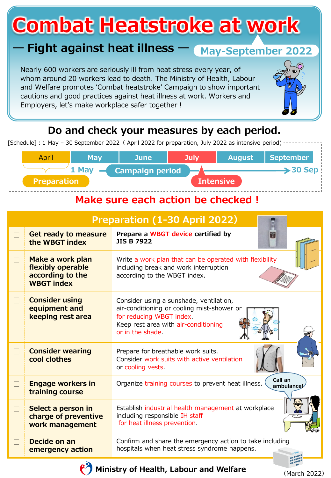# **Combat Heatstroke at work**

## **― Fight against heat illness ―**

Nearly 600 workers are seriously ill from heat stress every year, of whom around 20 workers lead to death. The Ministry of Health, Labour and Welfare promotes 'Combat heatstroke' Campaign to show important cautions and good practices against heat illness at work. Workers and Employers, let's make workplace safer together !



#### **Do and check your measures by each period.**

[Schedule]: 1 May - 30 September 2022 ( April 2022 for preparation, July 2022 as intensive period)

| 1 May<br><b>Campaign period</b> |                  |                      |
|---------------------------------|------------------|----------------------|
|                                 |                  | $\rightarrow$ 30 Sep |
| <b>Preparation</b>              | <b>Intensive</b> |                      |

#### **Make sure each action be checked !**

| <b>Preparation (1-30 April 2022)</b> |                                                                                |                                                                                                                                                                              |  |  |  |
|--------------------------------------|--------------------------------------------------------------------------------|------------------------------------------------------------------------------------------------------------------------------------------------------------------------------|--|--|--|
| $\Box$                               | <b>Get ready to measure</b><br>the WBGT index                                  | Prepare a WBGT device certified by<br>歌<br><b>JIS B 7922</b>                                                                                                                 |  |  |  |
| $\Box$                               | Make a work plan<br>flexibly operable<br>according to the<br><b>WBGT index</b> | Write a work plan that can be operated with flexibility<br>including break and work interruption<br>according to the WBGT index.                                             |  |  |  |
| $\Box$                               | <b>Consider using</b><br>equipment and<br>keeping rest area                    | Consider using a sunshade, ventilation,<br>air-conditioning or cooling mist-shower or<br>for reducing WBGT index.<br>Keep rest area with air-conditioning<br>or in the shade |  |  |  |
| $\Box$                               | <b>Consider wearing</b><br>cool clothes                                        | Prepare for breathable work suits.<br>Consider work suits with active ventilation<br>or cooling vests.                                                                       |  |  |  |
| $\Box$                               | <b>Engage workers in</b><br>training course                                    | Call an<br>Organize training courses to prevent heat illness.<br>ambulance                                                                                                   |  |  |  |
| $\Box$                               | Select a person in<br>charge of preventive<br>work management                  | Establish industrial health management at workplace<br>including responsible IH staff<br>for heat illness prevention.                                                        |  |  |  |
| $\Box$                               | Decide on an<br>emergency action                                               | Confirm and share the emergency action to take including<br>hospitals when heat stress syndrome happens.                                                                     |  |  |  |

**Ministry of Health, Labour and Welfare**